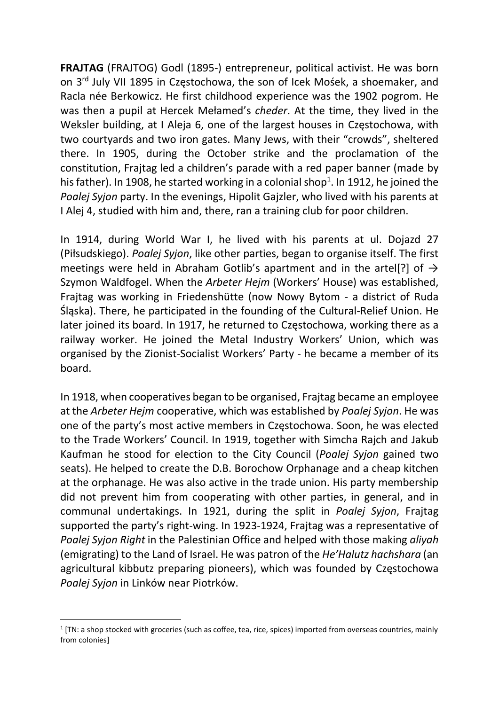FRAJTAG (FRAJTOG) Godl (1895-) entrepreneur, political activist. He was born on 3rd July VII 1895 in Częstochowa, the son of Icek Mośek, a shoemaker, and Racla née Berkowicz. He first childhood experience was the 1902 pogrom. He was then a pupil at Hercek Mełamed's cheder. At the time, they lived in the Weksler building, at I Aleja 6, one of the largest houses in Częstochowa, with two courtyards and two iron gates. Many Jews, with their "crowds", sheltered there. In 1905, during the October strike and the proclamation of the constitution, Frajtag led a children's parade with a red paper banner (made by his father). In 1908, he started working in a colonial shop<sup>1</sup>. In 1912, he joined the Poalej Syjon party. In the evenings, Hipolit Gajzler, who lived with his parents at I Alej 4, studied with him and, there, ran a training club for poor children.

In 1914, during World War I, he lived with his parents at ul. Dojazd 27 (Piłsudskiego). Poalej Syjon, like other parties, began to organise itself. The first meetings were held in Abraham Gotlib's apartment and in the artel[?] of  $\rightarrow$ Szymon Waldfogel. When the Arbeter Hejm (Workers' House) was established, Frajtag was working in Friedenshütte (now Nowy Bytom - a district of Ruda Śląska). There, he participated in the founding of the Cultural-Relief Union. He later joined its board. In 1917, he returned to Częstochowa, working there as a railway worker. He joined the Metal Industry Workers' Union, which was organised by the Zionist-Socialist Workers' Party - he became a member of its board.

In 1918, when cooperatives began to be organised, Frajtag became an employee at the Arbeter Hejm cooperative, which was established by Poalej Syjon. He was one of the party's most active members in Częstochowa. Soon, he was elected to the Trade Workers' Council. In 1919, together with Simcha Rajch and Jakub Kaufman he stood for election to the City Council (Poalej Syjon gained two seats). He helped to create the D.B. Borochow Orphanage and a cheap kitchen at the orphanage. He was also active in the trade union. His party membership did not prevent him from cooperating with other parties, in general, and in communal undertakings. In 1921, during the split in Poalej Syjon, Frajtag supported the party's right-wing. In 1923-1924, Frajtag was a representative of Poalej Syjon Right in the Palestinian Office and helped with those making aliyah (emigrating) to the Land of Israel. He was patron of the He'Halutz hachshara (an agricultural kibbutz preparing pioneers), which was founded by Częstochowa Poalej Syjon in Linków near Piotrków.

 $1$  [TN: a shop stocked with groceries (such as coffee, tea, rice, spices) imported from overseas countries, mainly from colonies]